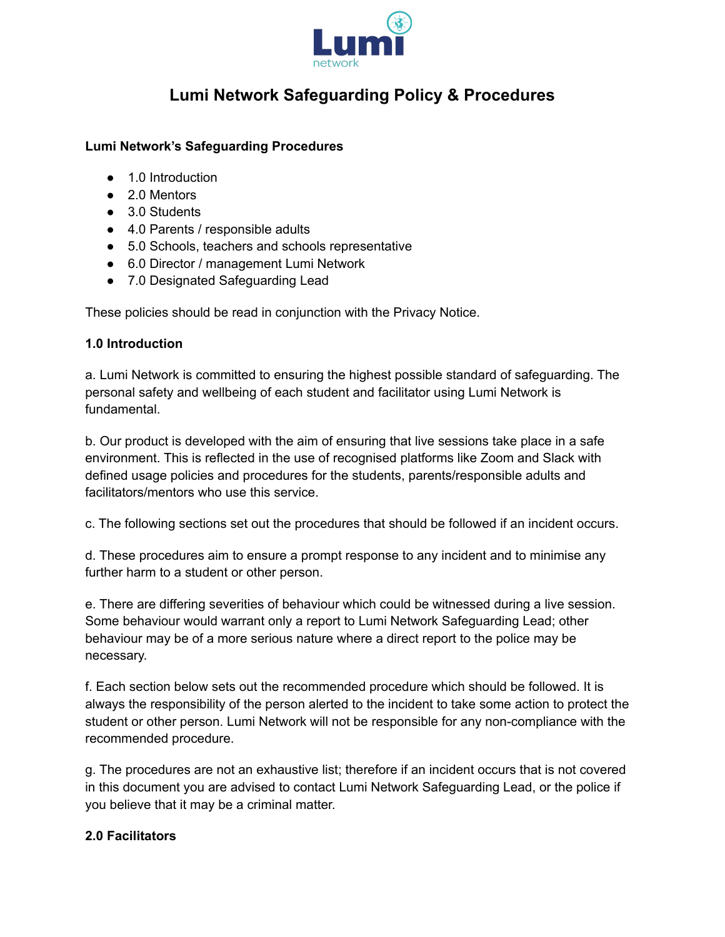

# **Lumi Network Safeguarding Policy & Procedures**

#### **Lumi Network's Safeguarding Procedures**

- 1.0 Introduction
- 2.0 Mentors
- 3.0 Students
- 4.0 Parents / responsible adults
- 5.0 Schools, teachers and schools representative
- 6.0 Director / management Lumi Network
- 7.0 Designated Safeguarding Lead

These policies should be read in conjunction with the Privacy Notice.

#### **1.0 Introduction**

a. Lumi Network is committed to ensuring the highest possible standard of safeguarding. The personal safety and wellbeing of each student and facilitator using Lumi Network is fundamental.

b. Our product is developed with the aim of ensuring that live sessions take place in a safe environment. This is reflected in the use of recognised platforms like Zoom and Slack with defined usage policies and procedures for the students, parents/responsible adults and facilitators/mentors who use this service.

c. The following sections set out the procedures that should be followed if an incident occurs.

d. These procedures aim to ensure a prompt response to any incident and to minimise any further harm to a student or other person.

e. There are differing severities of behaviour which could be witnessed during a live session. Some behaviour would warrant only a report to Lumi Network Safeguarding Lead; other behaviour may be of a more serious nature where a direct report to the police may be necessary.

f. Each section below sets out the recommended procedure which should be followed. It is always the responsibility of the person alerted to the incident to take some action to protect the student or other person. Lumi Network will not be responsible for any non-compliance with the recommended procedure.

g. The procedures are not an exhaustive list; therefore if an incident occurs that is not covered in this document you are advised to contact Lumi Network Safeguarding Lead, or the police if you believe that it may be a criminal matter.

# **2.0 Facilitators**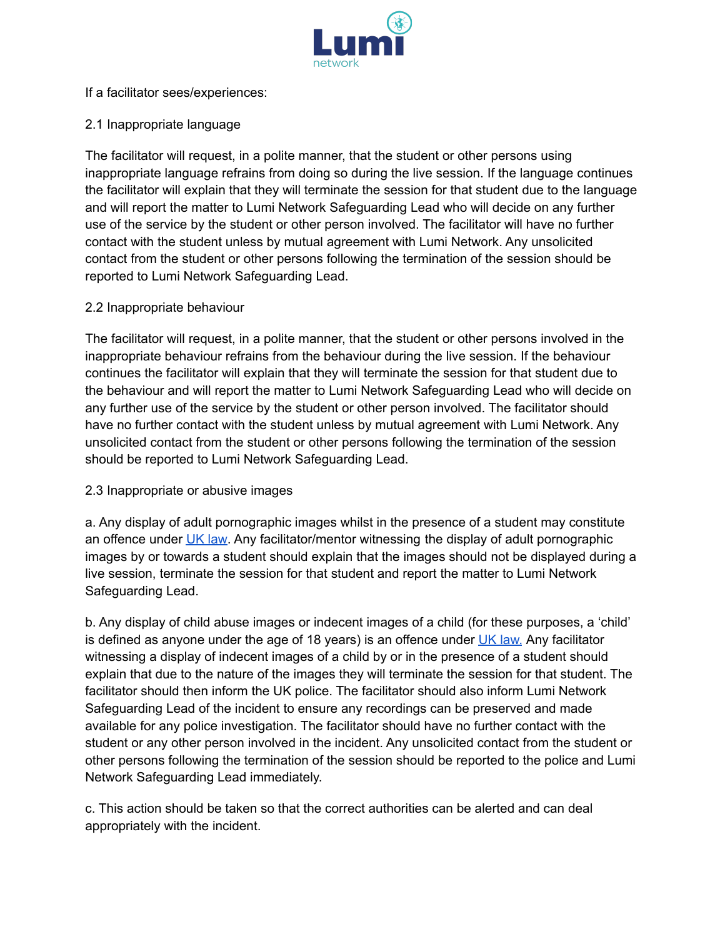

If a facilitator sees/experiences:

# 2.1 Inappropriate language

The facilitator will request, in a polite manner, that the student or other persons using inappropriate language refrains from doing so during the live session. If the language continues the facilitator will explain that they will terminate the session for that student due to the language and will report the matter to Lumi Network Safeguarding Lead who will decide on any further use of the service by the student or other person involved. The facilitator will have no further contact with the student unless by mutual agreement with Lumi Network. Any unsolicited contact from the student or other persons following the termination of the session should be reported to Lumi Network Safeguarding Lead.

# 2.2 Inappropriate behaviour

The facilitator will request, in a polite manner, that the student or other persons involved in the inappropriate behaviour refrains from the behaviour during the live session. If the behaviour continues the facilitator will explain that they will terminate the session for that student due to the behaviour and will report the matter to Lumi Network Safeguarding Lead who will decide on any further use of the service by the student or other person involved. The facilitator should have no further contact with the student unless by mutual agreement with Lumi Network. Any unsolicited contact from the student or other persons following the termination of the session should be reported to Lumi Network Safeguarding Lead.

# 2.3 Inappropriate or abusive images

a. Any display of adult pornographic images whilst in the presence of a student may constitute an offence under UK [law](https://www.cps.gov.uk/victims-witnesses). Any facilitator/mentor witnessing the display of adult pornographic images by or towards a student should explain that the images should not be displayed during a live session, terminate the session for that student and report the matter to Lumi Network Safeguarding Lead.

b. Any display of child abuse images or indecent images of a child (for these purposes, a 'child' is defined as anyone under the age of 18 years) is an offence under UK [law.](https://www.cps.gov.uk/victims-witnesses) Any facilitator witnessing a display of indecent images of a child by or in the presence of a student should explain that due to the nature of the images they will terminate the session for that student. The facilitator should then inform the UK police. The facilitator should also inform Lumi Network Safeguarding Lead of the incident to ensure any recordings can be preserved and made available for any police investigation. The facilitator should have no further contact with the student or any other person involved in the incident. Any unsolicited contact from the student or other persons following the termination of the session should be reported to the police and Lumi Network Safeguarding Lead immediately.

c. This action should be taken so that the correct authorities can be alerted and can deal appropriately with the incident.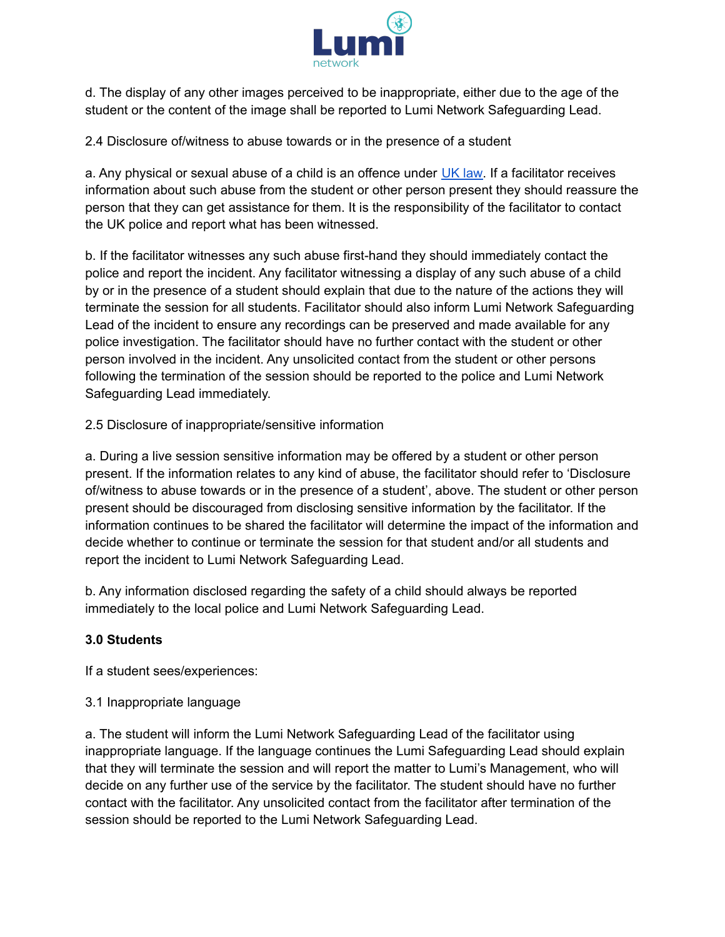

d. The display of any other images perceived to be inappropriate, either due to the age of the student or the content of the image shall be reported to Lumi Network Safeguarding Lead.

2.4 Disclosure of/witness to abuse towards or in the presence of a student

a. Any physical or sexual abuse of a child is an offence under UK [law.](https://www.cps.gov.uk/victims-witnesses) If a facilitator receives information about such abuse from the student or other person present they should reassure the person that they can get assistance for them. It is the responsibility of the facilitator to contact the UK police and report what has been witnessed.

b. If the facilitator witnesses any such abuse first-hand they should immediately contact the police and report the incident. Any facilitator witnessing a display of any such abuse of a child by or in the presence of a student should explain that due to the nature of the actions they will terminate the session for all students. Facilitator should also inform Lumi Network Safeguarding Lead of the incident to ensure any recordings can be preserved and made available for any police investigation. The facilitator should have no further contact with the student or other person involved in the incident. Any unsolicited contact from the student or other persons following the termination of the session should be reported to the police and Lumi Network Safeguarding Lead immediately.

2.5 Disclosure of inappropriate/sensitive information

a. During a live session sensitive information may be offered by a student or other person present. If the information relates to any kind of abuse, the facilitator should refer to 'Disclosure of/witness to abuse towards or in the presence of a student', above. The student or other person present should be discouraged from disclosing sensitive information by the facilitator. If the information continues to be shared the facilitator will determine the impact of the information and decide whether to continue or terminate the session for that student and/or all students and report the incident to Lumi Network Safeguarding Lead.

b. Any information disclosed regarding the safety of a child should always be reported immediately to the local police and Lumi Network Safeguarding Lead.

# **3.0 Students**

If a student sees/experiences:

3.1 Inappropriate language

a. The student will inform the Lumi Network Safeguarding Lead of the facilitator using inappropriate language. If the language continues the Lumi Safeguarding Lead should explain that they will terminate the session and will report the matter to Lumi's Management, who will decide on any further use of the service by the facilitator. The student should have no further contact with the facilitator. Any unsolicited contact from the facilitator after termination of the session should be reported to the Lumi Network Safeguarding Lead.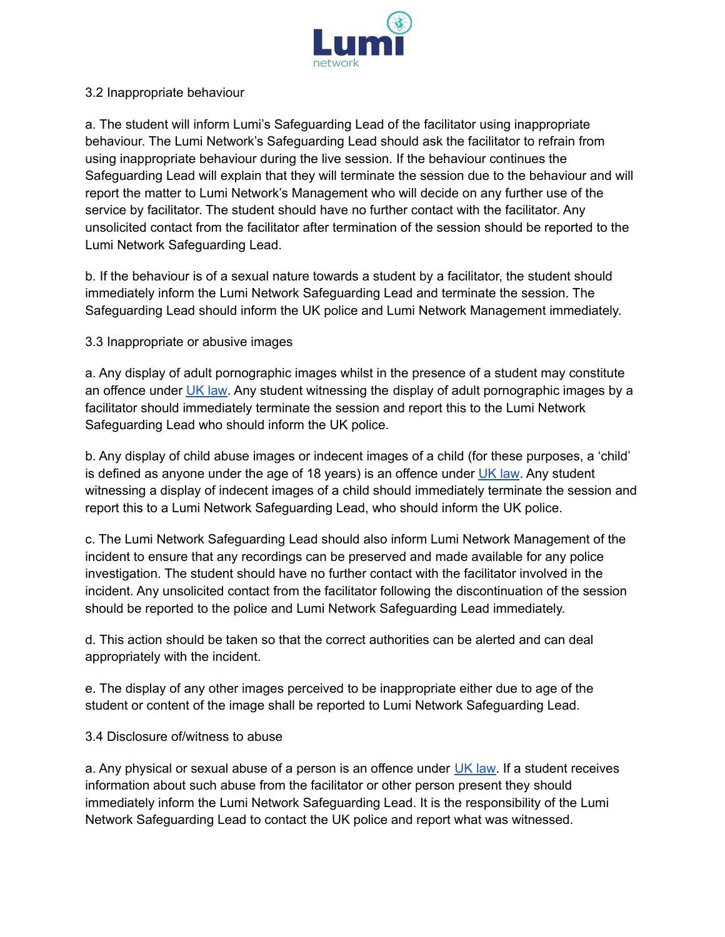

#### 3.2 Inappropriate behaviour

a. The student will inform Lumi's Safeguarding Lead of the facilitator using inappropriate behaviour. The Lumi Network's Safeguarding Lead should ask the facilitator to refrain from using inappropriate behaviour during the live session. If the behaviour continues the Safeguarding Lead will explain that they will terminate the session due to the behaviour and will report the matter to Lumi Network's Management who will decide on any further use of the service by facilitator. The student should have no further contact with the facilitator. Any unsolicited contact from the facilitator after termination of the session should be reported to the Lumi Network Safeguarding Lead.

b. If the behaviour is of a sexual nature towards a student by a facilitator, the student should immediately inform the Lumi Network Safeguarding Lead and terminate the session. The Safeguarding Lead should inform the UK police and Lumi Network Management immediately.

# 3.3 Inappropriate or abusive images

a. Any display of adult pornographic images whilst in the presence of a student may constitute an offence under UK [law](https://www.cps.gov.uk/victims-witnesses). Any student witnessing the display of adult pornographic images by a facilitator should immediately terminate the session and report this to the Lumi Network Safeguarding Lead who should inform the UK police.

b. Any display of child abuse images or indecent images of a child (for these purposes, a 'child' is defined as anyone under the age of 18 years) is an offence under UK [law](https://www.cps.gov.uk/victims-witnesses). Any student witnessing a display of indecent images of a child should immediately terminate the session and report this to a Lumi Network Safeguarding Lead, who should inform the UK police.

c. The Lumi Network Safeguarding Lead should also inform Lumi Network Management of the incident to ensure that any recordings can be preserved and made available for any police investigation. The student should have no further contact with the facilitator involved in the incident. Any unsolicited contact from the facilitator following the discontinuation of the session should be reported to the police and Lumi Network Safeguarding Lead immediately.

d. This action should be taken so that the correct authorities can be alerted and can deal appropriately with the incident.

e. The display of any other images perceived to be inappropriate either due to age of the student or content of the image shall be reported to Lumi Network Safeguarding Lead.

#### 3.4 Disclosure of/witness to abuse

a. Any physical or sexual abuse of a person is an offence under UK [law.](https://www.cps.gov.uk/victims-witnesses) If a student receives information about such abuse from the facilitator or other person present they should immediately inform the Lumi Network Safeguarding Lead. It is the responsibility of the Lumi Network Safeguarding Lead to contact the UK police and report what was witnessed.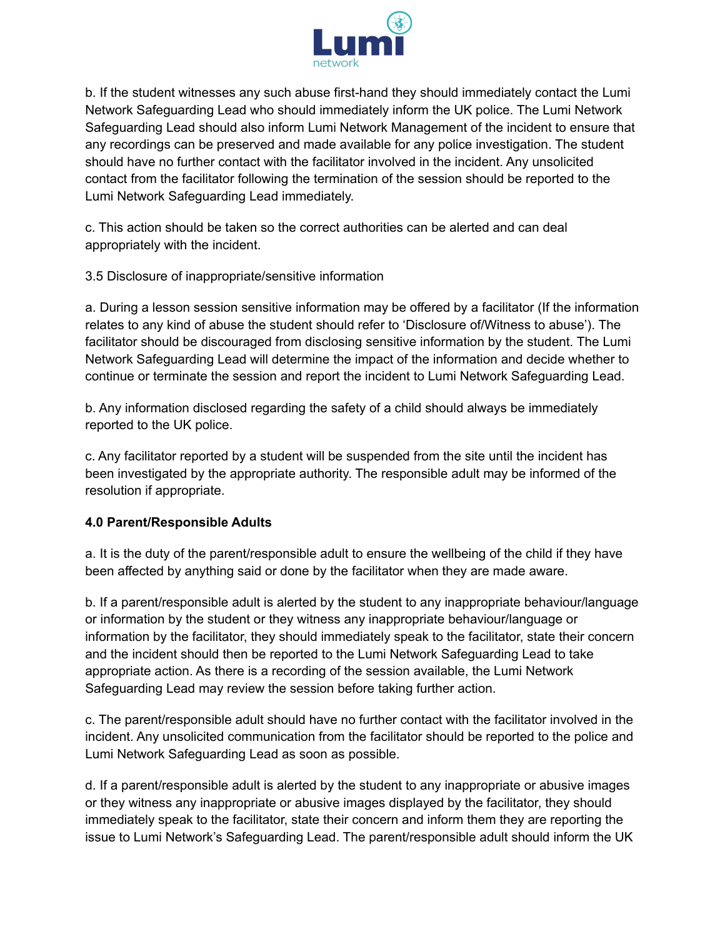

b. If the student witnesses any such abuse first-hand they should immediately contact the Lumi Network Safeguarding Lead who should immediately inform the UK police. The Lumi Network Safeguarding Lead should also inform Lumi Network Management of the incident to ensure that any recordings can be preserved and made available for any police investigation. The student should have no further contact with the facilitator involved in the incident. Any unsolicited contact from the facilitator following the termination of the session should be reported to the Lumi Network Safeguarding Lead immediately.

c. This action should be taken so the correct authorities can be alerted and can deal appropriately with the incident.

3.5 Disclosure of inappropriate/sensitive information

a. During a lesson session sensitive information may be offered by a facilitator (If the information relates to any kind of abuse the student should refer to 'Disclosure of/Witness to abuse'). The facilitator should be discouraged from disclosing sensitive information by the student. The Lumi Network Safeguarding Lead will determine the impact of the information and decide whether to continue or terminate the session and report the incident to Lumi Network Safeguarding Lead.

b. Any information disclosed regarding the safety of a child should always be immediately reported to the UK police.

c. Any facilitator reported by a student will be suspended from the site until the incident has been investigated by the appropriate authority. The responsible adult may be informed of the resolution if appropriate.

# **4.0 Parent/Responsible Adults**

a. It is the duty of the parent/responsible adult to ensure the wellbeing of the child if they have been affected by anything said or done by the facilitator when they are made aware.

b. If a parent/responsible adult is alerted by the student to any inappropriate behaviour/language or information by the student or they witness any inappropriate behaviour/language or information by the facilitator, they should immediately speak to the facilitator, state their concern and the incident should then be reported to the Lumi Network Safeguarding Lead to take appropriate action. As there is a recording of the session available, the Lumi Network Safeguarding Lead may review the session before taking further action.

c. The parent/responsible adult should have no further contact with the facilitator involved in the incident. Any unsolicited communication from the facilitator should be reported to the police and Lumi Network Safeguarding Lead as soon as possible.

d. If a parent/responsible adult is alerted by the student to any inappropriate or abusive images or they witness any inappropriate or abusive images displayed by the facilitator, they should immediately speak to the facilitator, state their concern and inform them they are reporting the issue to Lumi Network's Safeguarding Lead. The parent/responsible adult should inform the UK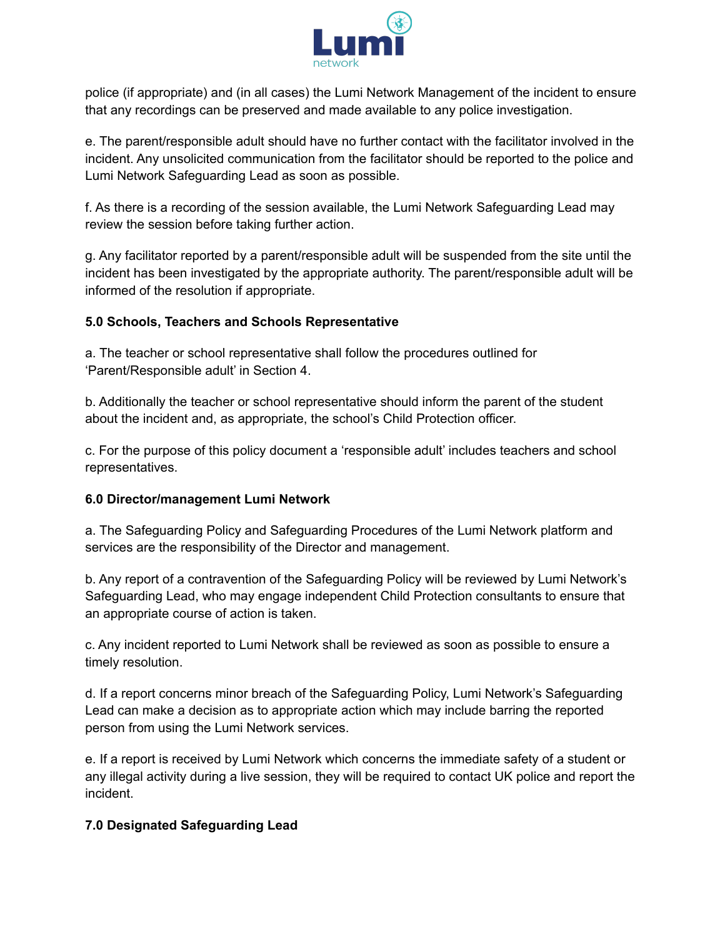

police (if appropriate) and (in all cases) the Lumi Network Management of the incident to ensure that any recordings can be preserved and made available to any police investigation.

e. The parent/responsible adult should have no further contact with the facilitator involved in the incident. Any unsolicited communication from the facilitator should be reported to the police and Lumi Network Safeguarding Lead as soon as possible.

f. As there is a recording of the session available, the Lumi Network Safeguarding Lead may review the session before taking further action.

g. Any facilitator reported by a parent/responsible adult will be suspended from the site until the incident has been investigated by the appropriate authority. The parent/responsible adult will be informed of the resolution if appropriate.

# **5.0 Schools, Teachers and Schools Representative**

a. The teacher or school representative shall follow the procedures outlined for 'Parent/Responsible adult' in Section 4.

b. Additionally the teacher or school representative should inform the parent of the student about the incident and, as appropriate, the school's Child Protection officer.

c. For the purpose of this policy document a 'responsible adult' includes teachers and school representatives.

# **6.0 Director/management Lumi Network**

a. The Safeguarding Policy and Safeguarding Procedures of the Lumi Network platform and services are the responsibility of the Director and management.

b. Any report of a contravention of the Safeguarding Policy will be reviewed by Lumi Network's Safeguarding Lead, who may engage independent Child Protection consultants to ensure that an appropriate course of action is taken.

c. Any incident reported to Lumi Network shall be reviewed as soon as possible to ensure a timely resolution.

d. If a report concerns minor breach of the Safeguarding Policy, Lumi Network's Safeguarding Lead can make a decision as to appropriate action which may include barring the reported person from using the Lumi Network services.

e. If a report is received by Lumi Network which concerns the immediate safety of a student or any illegal activity during a live session, they will be required to contact UK police and report the incident.

# **7.0 Designated Safeguarding Lead**